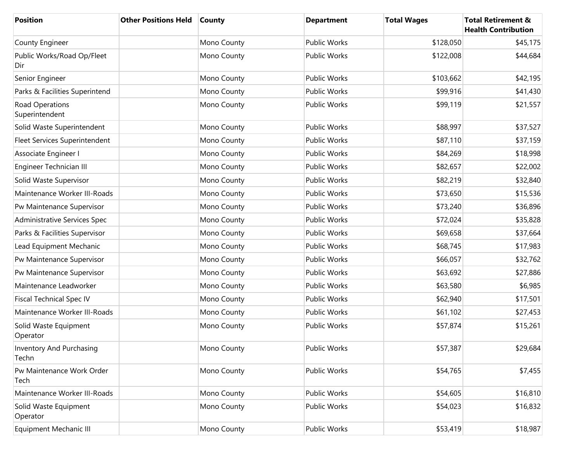| <b>Position</b>                          | <b>Other Positions Held</b> | <b>County</b> | <b>Department</b>   | <b>Total Wages</b> | <b>Total Retirement &amp;</b><br><b>Health Contribution</b> |
|------------------------------------------|-----------------------------|---------------|---------------------|--------------------|-------------------------------------------------------------|
| County Engineer                          |                             | Mono County   | <b>Public Works</b> | \$128,050          | \$45,175                                                    |
| Public Works/Road Op/Fleet<br>Dir        |                             | Mono County   | <b>Public Works</b> | \$122,008          | \$44,684                                                    |
| Senior Engineer                          |                             | Mono County   | <b>Public Works</b> | \$103,662          | \$42,195                                                    |
| Parks & Facilities Superintend           |                             | Mono County   | <b>Public Works</b> | \$99,916           | \$41,430                                                    |
| Road Operations<br>Superintendent        |                             | Mono County   | <b>Public Works</b> | \$99,119           | \$21,557                                                    |
| Solid Waste Superintendent               |                             | Mono County   | <b>Public Works</b> | \$88,997           | \$37,527                                                    |
| Fleet Services Superintendent            |                             | Mono County   | Public Works        | \$87,110           | \$37,159                                                    |
| Associate Engineer I                     |                             | Mono County   | Public Works        | \$84,269           | \$18,998                                                    |
| Engineer Technician III                  |                             | Mono County   | Public Works        | \$82,657           | \$22,002                                                    |
| Solid Waste Supervisor                   |                             | Mono County   | Public Works        | \$82,219           | \$32,840                                                    |
| Maintenance Worker III-Roads             |                             | Mono County   | Public Works        | \$73,650           | \$15,536                                                    |
| Pw Maintenance Supervisor                |                             | Mono County   | Public Works        | \$73,240           | \$36,896                                                    |
| Administrative Services Spec             |                             | Mono County   | Public Works        | \$72,024           | \$35,828                                                    |
| Parks & Facilities Supervisor            |                             | Mono County   | Public Works        | \$69,658           | \$37,664                                                    |
| Lead Equipment Mechanic                  |                             | Mono County   | Public Works        | \$68,745           | \$17,983                                                    |
| Pw Maintenance Supervisor                |                             | Mono County   | Public Works        | \$66,057           | \$32,762                                                    |
| Pw Maintenance Supervisor                |                             | Mono County   | Public Works        | \$63,692           | \$27,886                                                    |
| Maintenance Leadworker                   |                             | Mono County   | Public Works        | \$63,580           | \$6,985                                                     |
| <b>Fiscal Technical Spec IV</b>          |                             | Mono County   | Public Works        | \$62,940           | \$17,501                                                    |
| Maintenance Worker III-Roads             |                             | Mono County   | Public Works        | \$61,102           | \$27,453                                                    |
| Solid Waste Equipment<br>Operator        |                             | Mono County   | Public Works        | \$57,874           | \$15,261                                                    |
| <b>Inventory And Purchasing</b><br>Techn |                             | Mono County   | Public Works        | \$57,387           | \$29,684                                                    |
| Pw Maintenance Work Order<br>Tech        |                             | Mono County   | Public Works        | \$54,765           | \$7,455                                                     |
| Maintenance Worker III-Roads             |                             | Mono County   | Public Works        | \$54,605           | \$16,810                                                    |
| Solid Waste Equipment<br>Operator        |                             | Mono County   | Public Works        | \$54,023           | \$16,832                                                    |
| Equipment Mechanic III                   |                             | Mono County   | Public Works        | \$53,419           | \$18,987                                                    |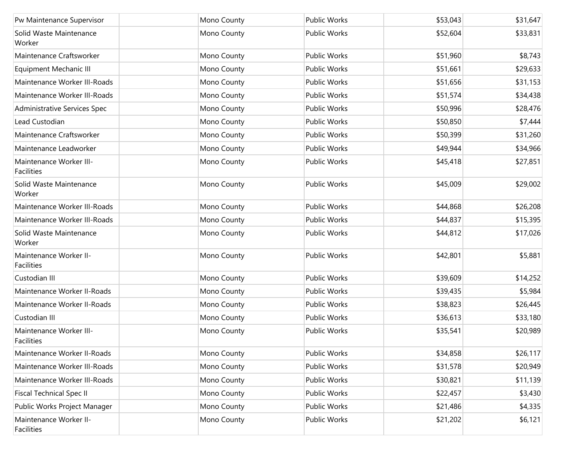| Pw Maintenance Supervisor             | Mono County | Public Works        | \$53,043 | \$31,647 |
|---------------------------------------|-------------|---------------------|----------|----------|
| Solid Waste Maintenance<br>Worker     | Mono County | Public Works        | \$52,604 | \$33,831 |
| Maintenance Craftsworker              | Mono County | Public Works        | \$51,960 | \$8,743  |
| Equipment Mechanic III                | Mono County | Public Works        | \$51,661 | \$29,633 |
| Maintenance Worker III-Roads          | Mono County | Public Works        | \$51,656 | \$31,153 |
| Maintenance Worker III-Roads          | Mono County | Public Works        | \$51,574 | \$34,438 |
| Administrative Services Spec          | Mono County | <b>Public Works</b> | \$50,996 | \$28,476 |
| Lead Custodian                        | Mono County | <b>Public Works</b> | \$50,850 | \$7,444  |
| Maintenance Craftsworker              | Mono County | Public Works        | \$50,399 | \$31,260 |
| Maintenance Leadworker                | Mono County | Public Works        | \$49,944 | \$34,966 |
| Maintenance Worker III-<br>Facilities | Mono County | Public Works        | \$45,418 | \$27,851 |
| Solid Waste Maintenance<br>Worker     | Mono County | <b>Public Works</b> | \$45,009 | \$29,002 |
| Maintenance Worker III-Roads          | Mono County | Public Works        | \$44,868 | \$26,208 |
| Maintenance Worker III-Roads          | Mono County | Public Works        | \$44,837 | \$15,395 |
| Solid Waste Maintenance<br>Worker     | Mono County | Public Works        | \$44,812 | \$17,026 |
| Maintenance Worker II-<br>Facilities  | Mono County | Public Works        | \$42,801 | \$5,881  |
| Custodian III                         | Mono County | <b>Public Works</b> | \$39,609 | \$14,252 |
| Maintenance Worker II-Roads           | Mono County | Public Works        | \$39,435 | \$5,984  |
| Maintenance Worker II-Roads           | Mono County | Public Works        | \$38,823 | \$26,445 |
| Custodian III                         | Mono County | Public Works        | \$36,613 | \$33,180 |
| Maintenance Worker III-<br>Facilities | Mono County | <b>Public Works</b> | \$35,541 | \$20,989 |
| Maintenance Worker II-Roads           | Mono County | Public Works        | \$34,858 | \$26,117 |
| Maintenance Worker III-Roads          | Mono County | Public Works        | \$31,578 | \$20,949 |
| Maintenance Worker III-Roads          | Mono County | Public Works        | \$30,821 | \$11,139 |
| <b>Fiscal Technical Spec II</b>       | Mono County | Public Works        | \$22,457 | \$3,430  |
| Public Works Project Manager          | Mono County | Public Works        | \$21,486 | \$4,335  |
| Maintenance Worker II-<br>Facilities  | Mono County | Public Works        | \$21,202 | \$6,121  |